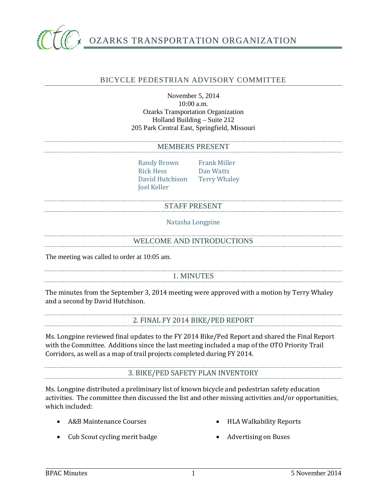

## BICYCLE PEDESTRIAN ADVISORY COMMITTEE

November 5, 2014 10:00 a.m. Ozarks Transportation Organization Holland Building – Suite 212 205 Park Central East, Springfield, Missouri

#### MEMBERS PRESENT

Randy Brown Frank Miller<br>Rick Hess Dan Watts David Hutchison Joel Keller

Dan Watts<br>Terry Whaley

#### STAFF PRESENT

Natasha Longpine

### WELCOME AND INTRODUCTIONS

The meeting was called to order at 10:05 am.

## 1. MINUTES

The minutes from the September 3, 2014 meeting were approved with a motion by Terry Whaley and a second by David Hutchison.

## 2. FINAL FY 2014 BIKE/PED REPORT

Ms. Longpine reviewed final updates to the FY 2014 Bike/Ped Report and shared the Final Report with the Committee. Additions since the last meeting included a map of the OTO Priority Trail Corridors, as well as a map of trail projects completed during FY 2014.

#### 3. BIKE/PED SAFETY PLAN INVENTORY

Ms. Longpine distributed a preliminary list of known bicycle and pedestrian safety education activities. The committee then discussed the list and other missing activities and/or opportunities, which included:

• A&B Maintenance Courses

• HLA Walkability Reports

- Cub Scout cycling merit badge
- Advertising on Buses